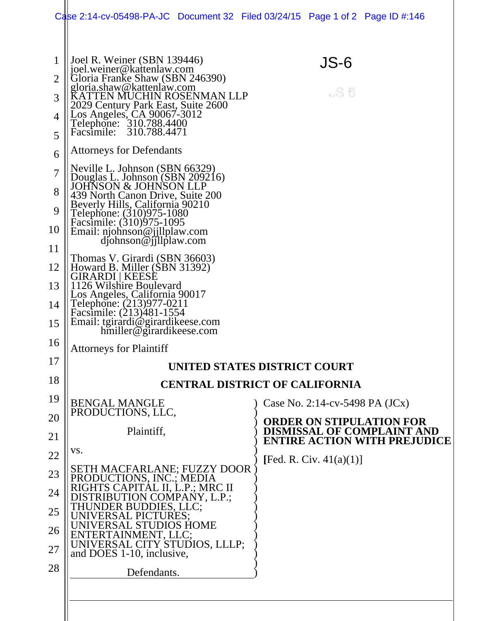|                                                                                            | Case 2:14-cv-05498-PA-JC Document 32 Filed 03/24/15 Page 1 of 2 Page ID #:146                                                                                                                                                                                                                                                                                                                                                                                                                                                                                                                                                                                                                                                                                                                                                                                                                |                                                                                                             |
|--------------------------------------------------------------------------------------------|----------------------------------------------------------------------------------------------------------------------------------------------------------------------------------------------------------------------------------------------------------------------------------------------------------------------------------------------------------------------------------------------------------------------------------------------------------------------------------------------------------------------------------------------------------------------------------------------------------------------------------------------------------------------------------------------------------------------------------------------------------------------------------------------------------------------------------------------------------------------------------------------|-------------------------------------------------------------------------------------------------------------|
| 1<br>$\overline{2}$<br>3<br>4<br>5<br>6<br>7<br>8<br>9<br>10<br>11<br>12<br>13<br>14<br>15 | Joel R. Weiner (SBN 139446)<br>joel.weiner@kattenlaw.com<br>Gloria Franke Shaw (SBN 246390)<br>gloria.shaw@kattenlaw.com<br>KATTEN MUCHIN ROSENMAN LLP<br>2029 Century Park East, Suite 2600<br>Los Angeles, CA 90067-3012<br>Telephone: 310.788.4400<br>Facsimile: 310.788.4471<br><b>Attorneys for Defendants</b><br>Neville L. Johnson (SBN 66329)<br>Douglas L. Johnson (SBN 209216)<br><b>JOHNSON &amp; JOHNSON LLP</b><br>439 North Canon Drive, Suite 200<br>Beverly Hills, California 90210<br>Telephone: (310)975-1080<br>Facsimile: (310)975-1095<br>Email: njohnson@jjllplaw.com<br>djohnson@jjllplaw.com<br>Thomas V. Girardi (SBN 36603)<br>Howard B. Miller (SBN 31392)<br>GIRARDI   KEESE<br>1126 Wilshire Boulevard<br>Los Angeles, California 90017<br>Telephone: (213)977-0211<br>Facsimile: (213)481-1554<br>Email: tgirardi@girardikeese.com<br>hmiller@girardikeese.com | JS-6<br>wS 6                                                                                                |
| 16                                                                                         | <b>Attorneys for Plaintiff</b>                                                                                                                                                                                                                                                                                                                                                                                                                                                                                                                                                                                                                                                                                                                                                                                                                                                               |                                                                                                             |
| 17                                                                                         | UNITED STATES DISTRICT COURT                                                                                                                                                                                                                                                                                                                                                                                                                                                                                                                                                                                                                                                                                                                                                                                                                                                                 |                                                                                                             |
| 18                                                                                         |                                                                                                                                                                                                                                                                                                                                                                                                                                                                                                                                                                                                                                                                                                                                                                                                                                                                                              | <b>CENTRAL DISTRICT OF CALIFORNIA</b>                                                                       |
| 19                                                                                         | <b>BENGAL MANGLE</b><br>PRODUCTIONS, LLC,                                                                                                                                                                                                                                                                                                                                                                                                                                                                                                                                                                                                                                                                                                                                                                                                                                                    | Case No. 2:14-cv-5498 PA $(JCx)$                                                                            |
| 20<br>21                                                                                   | Plaintiff,                                                                                                                                                                                                                                                                                                                                                                                                                                                                                                                                                                                                                                                                                                                                                                                                                                                                                   | <b>ORDER ON STIPULATION FOR</b><br><b>DISMISSAL OF COMPLAINT AND</b><br><b>ENTIRE ACTION WITH PREJUDICE</b> |
| 22                                                                                         | VS.                                                                                                                                                                                                                                                                                                                                                                                                                                                                                                                                                                                                                                                                                                                                                                                                                                                                                          | [Fed. R. Civ. $41(a)(1)$ ]                                                                                  |
| 23                                                                                         | <b>SETH MACFARLANE; FUZZY DOOR</b><br>PRODUCTIONS, INC.; MEDIA                                                                                                                                                                                                                                                                                                                                                                                                                                                                                                                                                                                                                                                                                                                                                                                                                               |                                                                                                             |
| 24                                                                                         | RIGHTS CAPITAL II, L.P.; MRC II<br>ON COMPANY, L.P.;                                                                                                                                                                                                                                                                                                                                                                                                                                                                                                                                                                                                                                                                                                                                                                                                                                         |                                                                                                             |
| 25                                                                                         | <b>DIOS HOME</b>                                                                                                                                                                                                                                                                                                                                                                                                                                                                                                                                                                                                                                                                                                                                                                                                                                                                             |                                                                                                             |
| 26<br>27                                                                                   | 'ERTAINMENT. LLC:<br>UNIVERSAL CITY STUDIOS, LLLP;<br>and DOES 1-10, inclusive,                                                                                                                                                                                                                                                                                                                                                                                                                                                                                                                                                                                                                                                                                                                                                                                                              |                                                                                                             |
| 28                                                                                         | Defendants.                                                                                                                                                                                                                                                                                                                                                                                                                                                                                                                                                                                                                                                                                                                                                                                                                                                                                  |                                                                                                             |
|                                                                                            |                                                                                                                                                                                                                                                                                                                                                                                                                                                                                                                                                                                                                                                                                                                                                                                                                                                                                              |                                                                                                             |